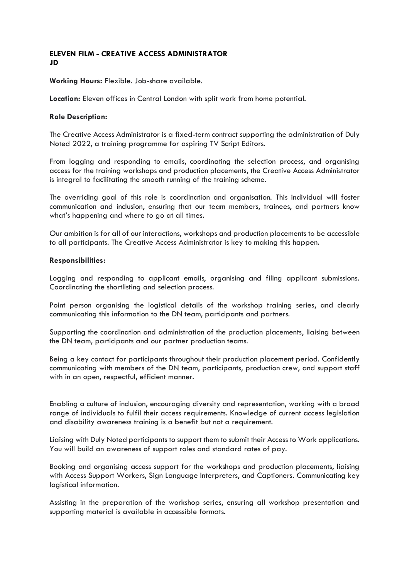### **ELEVEN FILM - CREATIVE ACCESS ADMINISTRATOR JD**

**Working Hours:** Flexible. Job-share available.

**Location:** Eleven offices in Central London with split work from home potential.

### **Role Description:**

The Creative Access Administrator is a fixed-term contract supporting the administration of Duly Noted 2022, a training programme for aspiring TV Script Editors.

From logging and responding to emails, coordinating the selection process, and organising access for the training workshops and production placements, the Creative Access Administrator is integral to facilitating the smooth running of the training scheme.

The overriding goal of this role is coordination and organisation. This individual will foster communication and inclusion, ensuring that our team members, trainees, and partners know what's happening and where to go at all times.

Our ambition is for all of our interactions, workshops and production placements to be accessible to all participants. The Creative Access Administrator is key to making this happen.

#### **Responsibilities:**

Logging and responding to applicant emails, organising and filing applicant submissions. Coordinating the shortlisting and selection process.

Point person organising the logistical details of the workshop training series, and clearly communicating this information to the DN team, participants and partners.

Supporting the coordination and administration of the production placements, liaising between the DN team, participants and our partner production teams.

Being a key contact for participants throughout their production placement period. Confidently communicating with members of the DN team, participants, production crew, and support staff with in an open, respectful, efficient manner.

Enabling a culture of inclusion, encouraging diversity and representation, working with a broad range of individuals to fulfil their access requirements. Knowledge of current access legislation and disability awareness training is a benefit but not a requirement.

Liaising with Duly Noted participants to support them to submit their Access to Work applications. You will build an awareness of support roles and standard rates of pay.

Booking and organising access support for the workshops and production placements, liaising with Access Support Workers, Sign Language Interpreters, and Captioners. Communicating key logistical information.

Assisting in the preparation of the workshop series, ensuring all workshop presentation and supporting material is available in accessible formats.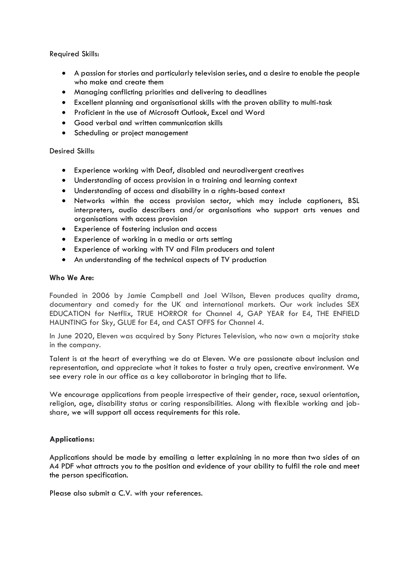Required Skills:

- A passion for stories and particularly television series, and a desire to enable the people who make and create them
- Managing conflicting priorities and delivering to deadlines
- Excellent planning and organisational skills with the proven ability to multi-task
- Proficient in the use of Microsoft Outlook, Excel and Word
- Good verbal and written communication skills
- Scheduling or project management

# Desired Skills:

- Experience working with Deaf, disabled and neurodivergent creatives
- Understanding of access provision in a training and learning context
- Understanding of access and disability in a rights-based context
- Networks within the access provision sector, which may include captioners, BSL interpreters, audio describers and/or organisations who support arts venues and organisations with access provision
- Experience of fostering inclusion and access
- Experience of working in a media or arts setting
- Experience of working with TV and Film producers and talent
- An understanding of the technical aspects of TV production

# **Who We Are:**

Founded in 2006 by Jamie Campbell and Joel Wilson, Eleven produces quality drama, documentary and comedy for the UK and international markets. Our work includes SEX EDUCATION for Netflix, TRUE HORROR for Channel 4, GAP YEAR for E4, THE ENFIELD HAUNTING for Sky, GLUE for E4, and CAST OFFS for Channel 4.

In June 2020, Eleven was acquired by Sony Pictures Television, who now own a majority stake in the company.

Talent is at the heart of everything we do at Eleven. We are passionate about inclusion and representation, and appreciate what it takes to foster a truly open, creative environment. We see every role in our office as a key collaborator in bringing that to life.

We encourage applications from people irrespective of their gender, race, sexual orientation, religion, age, disability status or caring responsibilities. Along with flexible working and jobshare, we will support all access requirements for this role.

# **Applications:**

Applications should be made by emailing a letter explaining in no more than two sides of an A4 PDF what attracts you to the position and evidence of your ability to fulfil the role and meet the person specification.

Please also submit a C.V. with your references.